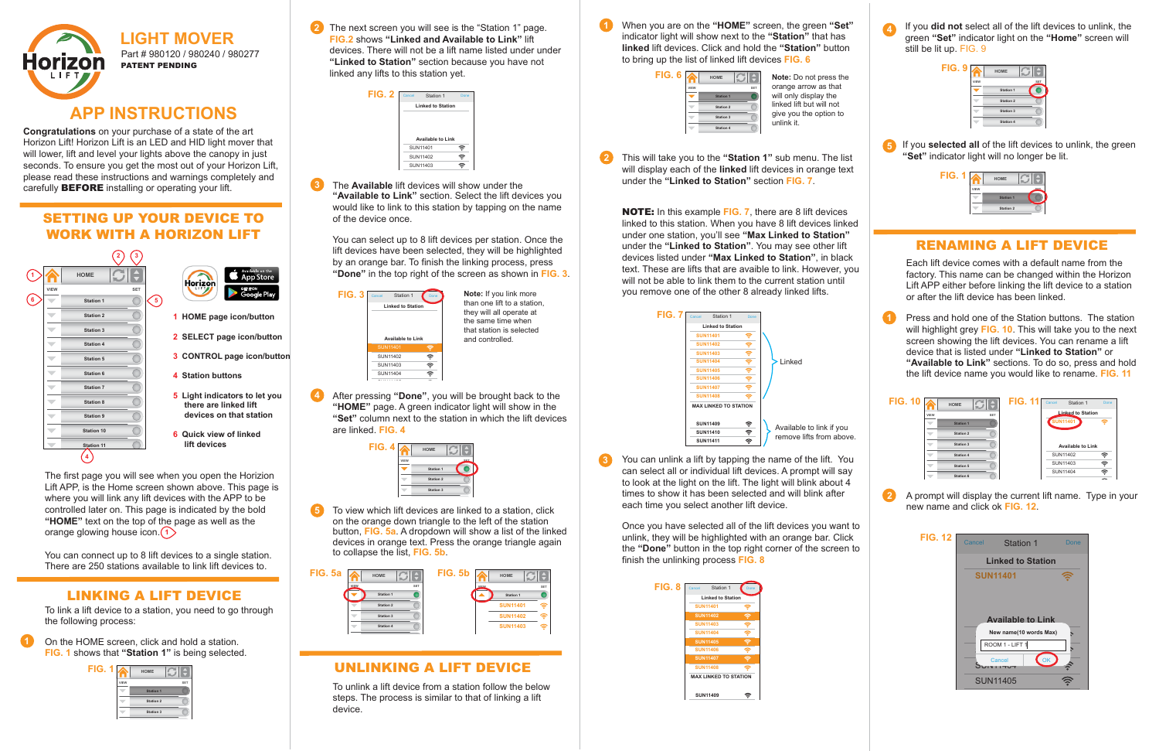**3** The **Available** lift devices will show under the SUN11406 "**Available to Link**" section. Select the lift devices you would like to link to this station by tapping on the name of the device once.

**1**

**1**

**2**

**4**

| FIG. 2 | Cancel   | Station 1                | Done             |
|--------|----------|--------------------------|------------------|
|        |          | <b>Linked to Station</b> |                  |
|        |          |                          |                  |
|        |          |                          |                  |
|        | SUN11401 | <b>Available to Link</b> | ₹                |
|        | SUN11402 |                          | $\widehat{\tau}$ |



| FIG. 4 |      | <b>HOME</b>      |  |
|--------|------|------------------|--|
|        | VIEW | OET              |  |
|        |      | <b>Station 1</b> |  |
|        |      | <b>Station 2</b> |  |
|        |      | <b>Station 3</b> |  |
|        |      |                  |  |



| FIG. 6 |      | <b>HOME</b>      |            |
|--------|------|------------------|------------|
|        | VIEW |                  | <b>SET</b> |
|        |      | <b>Station 1</b> |            |
|        |      | <b>Station 2</b> |            |
|        |      | <b>Station 3</b> |            |
|        |      | <b>Station 4</b> |            |
|        |      |                  |            |

| FIG. 8 | Cancel | Station 1                    | Done |
|--------|--------|------------------------------|------|
|        |        | <b>Linked to Station</b>     |      |
|        |        | <b>SUN11401</b>              |      |
|        |        | <b>SUN11402</b>              |      |
|        |        | <b>SUN11403</b>              |      |
|        |        | <b>SUN11404</b>              | ₹    |
|        |        | <b>SUN11405</b>              | ā    |
|        |        | <b>SUN11406</b>              | ₹    |
|        |        | <b>SUN11407</b>              | ŝ    |
|        |        | <b>SUN11408</b>              |      |
|        |        | <b>MAX LINKED TO STATION</b> |      |
|        |        | <b>SUN11409</b>              |      |

**Congratulations** on your purchase of a state of the art Horizon Lift! Horizon Lift is an LED and HID light mover that will lower, lift and level your lights above the canopy in just seconds. To ensure you get the most out of your Horizon Lift, please read these instructions and warnings completely and carefully **BEFORE** installing or operating your lift.







| <b>FIG. 12</b> | Cancel | Station 1                | Done |
|----------------|--------|--------------------------|------|
|                |        | <b>Linked to Station</b> |      |
|                |        | <b>SUN11401</b>          |      |
|                |        |                          |      |
|                |        |                          |      |
|                |        | <b>Available to Link</b> |      |
|                |        | New name(10 words Max)   |      |
|                |        |                          |      |
|                |        | ROOM 1 - LIFT 1          |      |
|                |        | Cancel                   |      |

**2** The next screen you will see is the "Station 1" page. **FIG.2** shows **"Linked and Available to Link"** lift devices. There will not be a lift name listed under under **"Linked to Station"** section because you have not linked any lifts to this station yet.



### SETTING UP YOUR DEVICE TO WORK WITH A HORIZON LIFT

**4** After pressing "Done", you will be brought back to the  $\cdots$ g -"HOME" page. A green indicator light will show in the "Set" column next to the station in which the lift devices are linked. **FIG. 4**

- $\rightarrow$  App Store Horizon
- **1 HOME page icon/button**
- **2 SELECT page icon/button**
- **3 CONTROL page icon/button**
- **4 Station buttons**
- **5 Light indicators to let you there are linked lift devices on that station**
- **6 Quick view of linked lift devices**

You can connect up to 8 lift devices to a single station. There are 250 stations available to link lift devices to.

**2** This will take you to the **"Station 1"** sub menu. The list will display each of the **linked** lift devices in orange text under the **"Linked to Station"** section **FIG. 7**.

## LINKING A LIFT DEVICE

**3** You can unlink a lift by tapping the name of the lift. You can select all or individual lift devices. A prompt will say to look at the light on the lift. The light will blink about 4 times to show it has been selected and will blink after each time you select another lift device.

To link a lift device to a station, you need to go through the following process:

On the HOME screen, click and hold a station. **FIG. 1** shows that **"Station 1"** is being selected. **5** If you **selected all** of the lift devices to unlink, the green **"Set"** indicator light will no longer be lit.

The first page you will see when you open the Horizion Lift APP, is the Home screen shown above. This page is where you will link any lift devices with the APP to be controlled later on. This page is indicated by the bold **"HOME"** text on the top of the page as well as the orange glowing house icon. **1**

| FIG. 7 | Cancel          | Station 1                    | Done |                          |
|--------|-----------------|------------------------------|------|--------------------------|
|        |                 | <b>Linked to Station</b>     |      |                          |
|        | <b>SUN11401</b> |                              | ş    |                          |
|        | <b>SUN11402</b> |                              | 令    |                          |
|        | <b>SUN11403</b> |                              | 令    |                          |
|        | <b>SUN11404</b> |                              | 令    | Linked                   |
|        | <b>SUN11405</b> |                              | 令    |                          |
|        | <b>SUN11406</b> |                              | 令    |                          |
|        | <b>SUN11407</b> |                              | ş    |                          |
|        | <b>SUN11408</b> |                              | ş    |                          |
|        |                 | <b>MAX LINKED TO STATION</b> |      |                          |
|        | <b>SUN11409</b> |                              | 令    | Available to link if you |
|        | <b>SUN11410</b> |                              | 令    | remove lifts from above. |
|        | <b>SUN11411</b> |                              | 令    |                          |

**5 Station 5** To view which lift devices are linked to a station, click **Station 6** on the orange down triangle to the left of the station **Station 7** button, **FIG. 5a**. A dropdown will show a list of the linked **Station 8** devices in orange text. Press the orange triangle again **Station 9** to collapse the list, **FIG. 5b**.

You can select up to 8 lift devices per station. Once the lift devices have been selected, they will be highlighted by an orange bar. To finish the linking process, press **"Done"** in the top right of the screen as shown in **FIG. 3**.

| FIG. 3 | Cancel<br>Station 1<br><b>Linked to Station</b><br><b>Available to Link</b> | Done | Note: If you link more<br>than one lift to a station,<br>they will all operate at<br>the same time when<br>that station is selected<br>and controlled |
|--------|-----------------------------------------------------------------------------|------|-------------------------------------------------------------------------------------------------------------------------------------------------------|
|        | <b>SUN11401</b>                                                             | ş    |                                                                                                                                                       |
|        | SUN11402                                                                    | ê,   |                                                                                                                                                       |
|        | SUN11403                                                                    | ş    |                                                                                                                                                       |
|        | SUN11404                                                                    | T    |                                                                                                                                                       |



When you are on the **"HOME"** screen, the green **"Set"** indicator light will show next to the **"Station"** that has **linked** lift devices. Click and hold the **"Station"** button to bring up the list of linked lift devices **FIG. 6**

NOTE: In this example **FIG. 7**, there are 8 lift devices linked to this station. When you have 8 lift devices linked under one station, you'll see **"Max Linked to Station"** under the **"Linked to Station"**. You may see other lift devices listed under **"Max Linked to Station"**, in black text. These are lifts that are avaible to link. However, you will not be able to link them to the current station until you remove one of the other 8 already linked lifts.

Once you have selected all of the lift devices you want to unlink, they will be highlighted with an orange bar. Click the **"Done"** button in the top right corner of the screen to finish the unlinking process **FIG. 8**

If you **did not** select all of the lift devices to unlink, the green **"Set"** indicator light on the **"Home"** screen will still be lit up. FIG. 9

## UNLINKING A LIFT DEVICE

To unlink a lift device from a station follow the below steps. The process is similar to that of linking a lift device.

# RENAMING A LIFT DEVICE

Each lift device comes with a default name from the factory. This name can be changed within the Horizon Lift APP either before linking the lift device to a station or after the lift device has been linked.

Press and hold one of the Station buttons. The station will highlight grey **FIG. 10**. This will take you to the next screen showing the lift devices. You can rename a lift device that is listed under **"Linked to Station"** or **"Available to Link"** sections. To do so, press and hold the lift device name you would like to rename. **FIG. 11**

A prompt will display the current lift name. Type in your new name and click ok **FIG. 12**.



**Note:** Do not press the orange arrow as that will only display the linked lift but will not give you the option to unlink it.